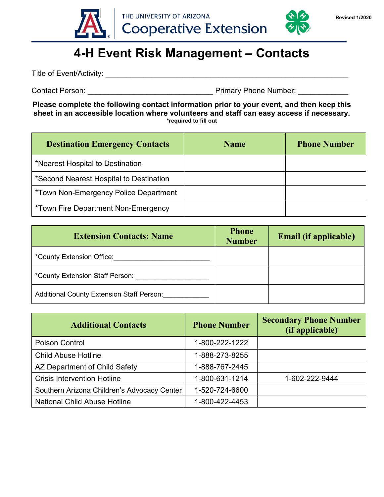

## **4-H Event Risk Management – Contacts**

Title of Event/Activity: \_\_\_\_\_\_\_\_\_\_\_\_\_\_\_\_\_\_\_\_\_\_\_\_\_\_\_\_\_\_\_\_\_\_\_\_\_\_\_\_\_\_\_\_\_\_\_\_\_\_\_\_\_\_\_\_\_\_

Contact Person: example and the example of the Primary Phone Number:  $\blacksquare$ 

**Please complete the following contact information prior to your event, and then keep this sheet in an accessible location where volunteers and staff can easy access if necessary. \*required to fill out**

| <b>Destination Emergency Contacts</b>   | <b>Name</b> | <b>Phone Number</b> |
|-----------------------------------------|-------------|---------------------|
| *Nearest Hospital to Destination        |             |                     |
| *Second Nearest Hospital to Destination |             |                     |
| *Town Non-Emergency Police Department   |             |                     |
| *Town Fire Department Non-Emergency     |             |                     |

| <b>Extension Contacts: Name</b>                  | <b>Phone</b><br><b>Number</b> | <b>Email (if applicable)</b> |
|--------------------------------------------------|-------------------------------|------------------------------|
| *County Extension Office:                        |                               |                              |
| *County Extension Staff Person:                  |                               |                              |
| <b>Additional County Extension Staff Person:</b> |                               |                              |

| <b>Additional Contacts</b>                  | <b>Phone Number</b> | <b>Secondary Phone Number</b><br>(if applicable) |
|---------------------------------------------|---------------------|--------------------------------------------------|
| Poison Control                              | 1-800-222-1222      |                                                  |
| <b>Child Abuse Hotline</b>                  | 1-888-273-8255      |                                                  |
| AZ Department of Child Safety               | 1-888-767-2445      |                                                  |
| <b>Crisis Intervention Hotline</b>          | 1-800-631-1214      | 1-602-222-9444                                   |
| Southern Arizona Children's Advocacy Center | 1-520-724-6600      |                                                  |
| <b>National Child Abuse Hotline</b>         | 1-800-422-4453      |                                                  |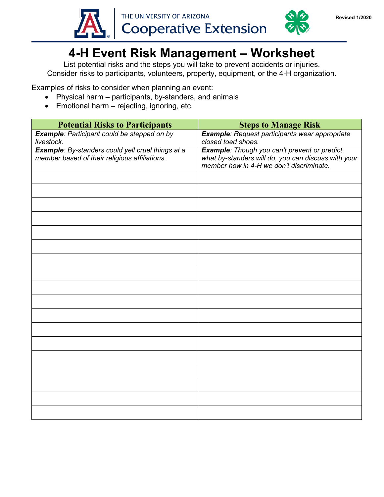



## **4-H Event Risk Management – Worksheet**

List potential risks and the steps you will take to prevent accidents or injuries. Consider risks to participants, volunteers, property, equipment, or the 4-H organization.

Examples of risks to consider when planning an event:

- Physical harm participants, by-standers, and animals
- Emotional harm rejecting, ignoring, etc.

| <b>Potential Risks to Participants</b>                                                             | <b>Steps to Manage Risk</b>                                                                                                                     |
|----------------------------------------------------------------------------------------------------|-------------------------------------------------------------------------------------------------------------------------------------------------|
| <b>Example:</b> Participant could be stepped on by<br>livestock.                                   | Example: Request participants wear appropriate<br>closed toed shoes.                                                                            |
| Example: By-standers could yell cruel things at a<br>member based of their religious affiliations. | Example: Though you can't prevent or predict<br>what by-standers will do, you can discuss with your<br>member how in 4-H we don't discriminate. |
|                                                                                                    |                                                                                                                                                 |
|                                                                                                    |                                                                                                                                                 |
|                                                                                                    |                                                                                                                                                 |
|                                                                                                    |                                                                                                                                                 |
|                                                                                                    |                                                                                                                                                 |
|                                                                                                    |                                                                                                                                                 |
|                                                                                                    |                                                                                                                                                 |
|                                                                                                    |                                                                                                                                                 |
|                                                                                                    |                                                                                                                                                 |
|                                                                                                    |                                                                                                                                                 |
|                                                                                                    |                                                                                                                                                 |
|                                                                                                    |                                                                                                                                                 |
|                                                                                                    |                                                                                                                                                 |
|                                                                                                    |                                                                                                                                                 |
|                                                                                                    |                                                                                                                                                 |
|                                                                                                    |                                                                                                                                                 |
|                                                                                                    |                                                                                                                                                 |
|                                                                                                    |                                                                                                                                                 |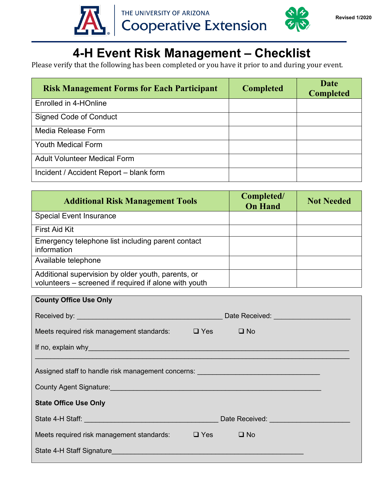



Please verify that the following has been completed or you have it prior to and during your event.

| <b>Risk Management Forms for Each Participant</b> | <b>Completed</b> | <b>Date</b><br><b>Completed</b> |
|---------------------------------------------------|------------------|---------------------------------|
| Enrolled in 4-HOnline                             |                  |                                 |
| Signed Code of Conduct                            |                  |                                 |
| Media Release Form                                |                  |                                 |
| <b>Youth Medical Form</b>                         |                  |                                 |
| <b>Adult Volunteer Medical Form</b>               |                  |                                 |
| Incident / Accident Report - blank form           |                  |                                 |

| <b>Additional Risk Management Tools</b>                                                                     | Completed/<br><b>On Hand</b> | <b>Not Needed</b> |
|-------------------------------------------------------------------------------------------------------------|------------------------------|-------------------|
| <b>Special Event Insurance</b>                                                                              |                              |                   |
| <b>First Aid Kit</b>                                                                                        |                              |                   |
| Emergency telephone list including parent contact<br>information                                            |                              |                   |
| Available telephone                                                                                         |                              |                   |
| Additional supervision by older youth, parents, or<br>volunteers - screened if required if alone with youth |                              |                   |

| <b>County Office Use Only</b>                                                                                                                                                                                                        |                                      |
|--------------------------------------------------------------------------------------------------------------------------------------------------------------------------------------------------------------------------------------|--------------------------------------|
|                                                                                                                                                                                                                                      | Date Received: <u>Date Received:</u> |
| Meets required risk management standards: $\Box$ Yes $\Box$ No                                                                                                                                                                       |                                      |
| If no, explain why example to the contract of the contract of the contract of the contract of the contract of the contract of the contract of the contract of the contract of the contract of the contract of the contract of        |                                      |
| Assigned staff to handle risk management concerns: _____________________________<br>County Agent Signature: County Agent Signature:                                                                                                  |                                      |
| <b>State Office Use Only</b>                                                                                                                                                                                                         |                                      |
| State 4-H Staff: <u>Alexander Contract Contract Contract Contract Contract Contract Contract Contract Contract Contract Contract Contract Contract Contract Contract Contract Contract Contract Contract Contract Contract Contr</u> | Date Received: <b>Example 2014</b>   |
| Meets required risk management standards:                                                                                                                                                                                            | $\Box$ Yes<br>$\square$ No           |
| State 4-H Staff Signature <b>Example 2018</b> State 4-H Staff Signature                                                                                                                                                              |                                      |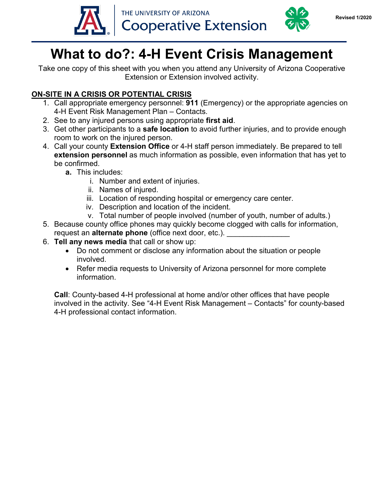



# **What to do?: 4-H Event Crisis Management**

Take one copy of this sheet with you when you attend any University of Arizona Cooperative Extension or Extension involved activity.

### **ON-SITE IN A CRISIS OR POTENTIAL CRISIS**

- 1. Call appropriate emergency personnel: **911** (Emergency) or the appropriate agencies on 4-H Event Risk Management Plan – Contacts.
- 2. See to any injured persons using appropriate **first aid**.
- 3. Get other participants to a **safe location** to avoid further injuries, and to provide enough room to work on the injured person.
- 4. Call your county **Extension Office** or 4-H staff person immediately. Be prepared to tell **extension personnel** as much information as possible, even information that has yet to be confirmed.
	- **a.** This includes:
		- i. Number and extent of injuries.
		- ii. Names of injured.
		- iii. Location of responding hospital or emergency care center.
		- iv. Description and location of the incident.
		- v. Total number of people involved (number of youth, number of adults.)
- 5. Because county office phones may quickly become clogged with calls for information, request an **alternate phone** (office next door, etc.).
- 6. **Tell any news media** that call or show up:
	- Do not comment or disclose any information about the situation or people involved.
	- Refer media requests to University of Arizona personnel for more complete information.

**Call**: County-based 4-H professional at home and/or other offices that have people involved in the activity. See "4-H Event Risk Management – Contacts" for county-based 4-H professional contact information.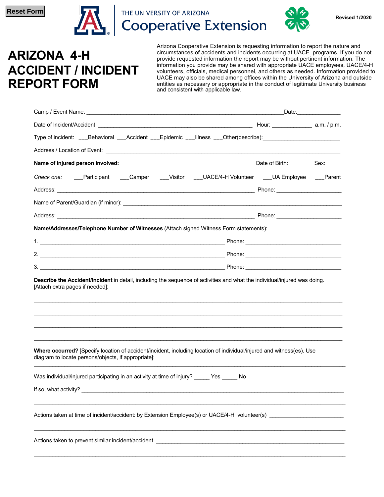

THE UNIVERSITY OF ARIZONA **Cooperative Extension** 



**ARIZONA 4-H ACCIDENT / INCIDENT REPORT FORM**

Arizona Cooperative Extension is requesting information to report the nature and circumstances of accidents and incidents occurring at UACE programs. If you do not provide requested information the report may be without pertinent information. The information you provide may be shared with appropriate UACE employees, UACE/4-H volunteers, officials, medical personnel, and others as needed. Information provided to UACE may also be shared among offices within the University of Arizona and outside entities as necessary or appropriate in the conduct of legitimate University business and consistent with applicable law.

|                                                                                                                                                                              | _Date:________________ |
|------------------------------------------------------------------------------------------------------------------------------------------------------------------------------|------------------------|
|                                                                                                                                                                              |                        |
| Type of incident: ___Behavioral ___Accident ___Epidemic ___Illness ___Other(describe): ______________________                                                                |                        |
|                                                                                                                                                                              |                        |
|                                                                                                                                                                              |                        |
| Check one: ___Participant ___Camper ___Visitor ___UACE/4-H Volunteer ___UA Employee ___Parent                                                                                |                        |
|                                                                                                                                                                              |                        |
|                                                                                                                                                                              |                        |
|                                                                                                                                                                              |                        |
| Name/Addresses/Telephone Number of Witnesses (Attach signed Witness Form statements):                                                                                        |                        |
|                                                                                                                                                                              |                        |
|                                                                                                                                                                              |                        |
|                                                                                                                                                                              |                        |
| [Attach extra pages if needed]:                                                                                                                                              |                        |
| Where occurred? [Specify location of accident/incident, including location of individual/injured and witness(es). Use<br>diagram to locate persons/objects, if appropriate]: |                        |
| Was individual/injured participating in an activity at time of injury? _____ Yes _____ No                                                                                    |                        |
|                                                                                                                                                                              |                        |
|                                                                                                                                                                              |                        |
|                                                                                                                                                                              |                        |